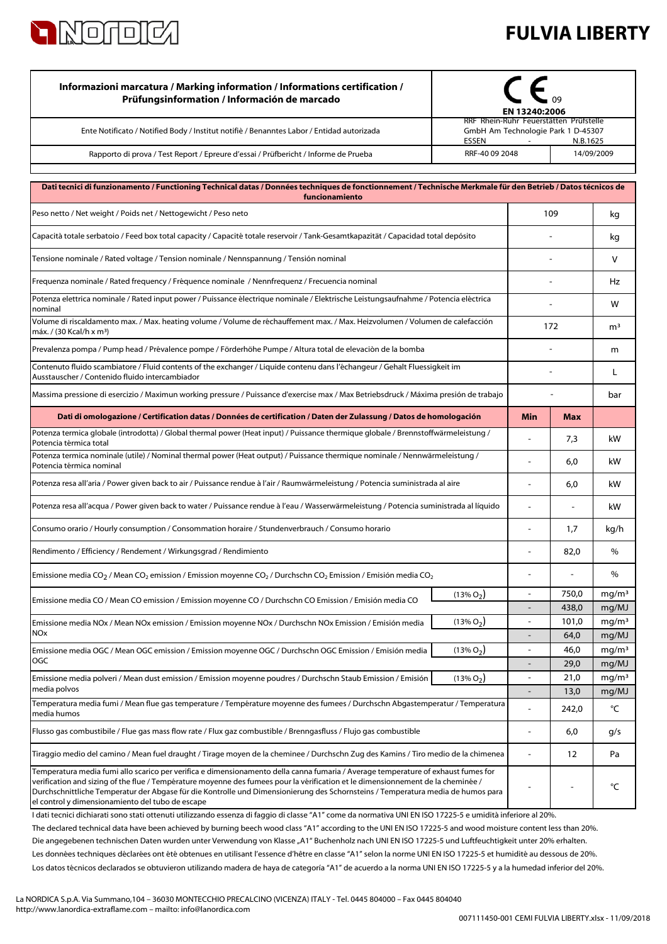

media polvos

media humos

## **FULVIA LIBERTY**

| Informazioni marcatura / Marking information / Informations certification /<br>Prüfungsinformation / Información de marcado                                                      |              | EN 13240:2006                                                                                      |               |                            |
|----------------------------------------------------------------------------------------------------------------------------------------------------------------------------------|--------------|----------------------------------------------------------------------------------------------------|---------------|----------------------------|
| Ente Notificato / Notified Body / Institut notifiè / Benanntes Labor / Entidad autorizada                                                                                        | ESSEN        | RRF Rhein-Ruhr Feuerstätten Prüfstelle<br>GmbH Am Technologie Park 1 D-45307<br>$\sim$<br>N.B.1625 |               |                            |
| Rapporto di prova / Test Report / Epreure d'essai / Prüfbericht / Informe de Prueba                                                                                              |              | RRF-40 09 2048<br>14/09/2009                                                                       |               |                            |
| Dati tecnici di funzionamento / Functioning Technical datas / Données techniques de fonctionnement / Technische Merkmale für den Betrieb / Datos técnicos de<br>funcionamiento   |              |                                                                                                    |               |                            |
| Peso netto / Net weight / Poids net / Nettogewicht / Peso neto                                                                                                                   |              |                                                                                                    | 109           | kq                         |
| Capacità totale serbatoio / Feed box total capacity / Capacité totale reservoir / Tank-Gesamtkapazität / Capacidad total depósito                                                |              |                                                                                                    |               |                            |
| Tensione nominale / Rated voltage / Tension nominale / Nennspannung / Tensión nominal                                                                                            |              |                                                                                                    |               | V                          |
| Frequenza nominale / Rated frequency / Fréquence nominale / Nennfrequenz / Frecuencia nominal                                                                                    |              |                                                                                                    |               | Hz                         |
| Potenza elettrica nominale / Rated input power / Puissance électrique nominale / Elektrische Leistungsaufnahme / Potencia eléctrica                                              |              |                                                                                                    |               | W                          |
| nominal<br>Volume di riscaldamento max. / Max. heating volume / Volume de réchauffement max. / Max. Heizvolumen / Volumen de calefacción<br>máx. / (30 Kcal/h x m <sup>3</sup> ) |              | 172                                                                                                |               | m <sup>3</sup>             |
| Prevalenza pompa / Pump head / Prévalence pompe / Förderhöhe Pumpe / Altura total de elevaciòn de la bomba                                                                       |              |                                                                                                    |               | m                          |
| Contenuto fluido scambiatore / Fluid contents of the exchanger / Liquide contenu dans l'échangeur / Gehalt Fluessigkeit im<br>Ausstauscher / Contenido fluido intercambiador     |              |                                                                                                    |               | L                          |
| Massima pressione di esercizio / Maximun working pressure / Puissance d'exercise max / Max Betriebsdruck / Máxima presión de trabajo                                             |              |                                                                                                    |               | bar                        |
| Dati di omologazione / Certification datas / Données de certification / Daten der Zulassung / Datos de homologación                                                              |              | Min                                                                                                | Max           |                            |
| Potenza termica globale (introdotta) / Global thermal power (Heat input) / Puissance thermique globale / Brennstoffwärmeleistung /<br>Potencia térmica total                     |              | L.                                                                                                 | 7,3           | kW                         |
| Potenza termica nominale (utile) / Nominal thermal power (Heat output) / Puissance thermique nominale / Nennwärmeleistung /<br>Potencia térmica nominal                          |              | $\overline{a}$                                                                                     | 6,0           | kW                         |
| Potenza resa all'aria / Power given back to air / Puissance rendue à l'air / Raumwärmeleistung / Potencia suministrada al aire                                                   |              | $\overline{\phantom{a}}$                                                                           | 6,0           | kW                         |
| Potenza resa all'acqua / Power given back to water / Puissance rendue à l'eau / Wasserwärmeleistung / Potencia suministrada al líquido                                           |              | ÷,                                                                                                 | ÷,            | kW                         |
| Consumo orario / Hourly consumption / Consommation horaire / Stundenverbrauch / Consumo horario                                                                                  |              |                                                                                                    | 1,7           | kg/h                       |
| Rendimento / Efficiency / Rendement / Wirkungsgrad / Rendimiento                                                                                                                 |              |                                                                                                    | 82,0          | $\%$                       |
| Emissione media CO <sub>2</sub> / Mean CO <sub>2</sub> emission / Emission moyenne CO <sub>2</sub> / Durchschn CO <sub>2</sub> Emission / Emisión media CO <sub>2</sub>          |              | $\overline{\phantom{a}}$                                                                           |               | $\%$                       |
| Emissione media CO / Mean CO emission / Emission moyenne CO / Durchschn CO Emission / Emisión media CO                                                                           | $(13\% O2)$  | $\overline{\phantom{a}}$                                                                           | 750,0         | mg/m <sup>3</sup>          |
|                                                                                                                                                                                  |              |                                                                                                    | 438,0         | mg/MJ                      |
| Emissione media NOx / Mean NOx emission / Emission moyenne NOx / Durchschn NOx Emission / Emisión media<br>NOx                                                                   | $(13\% O2)$  |                                                                                                    | 101,0<br>64,0 | mg/m <sup>3</sup><br>mg/MJ |
|                                                                                                                                                                                  |              |                                                                                                    | 46,0          |                            |
| Emissione media OGC / Mean OGC emission / Emission moyenne OGC / Durchschn OGC Emission / Emisión media<br>OGC                                                                   | $(13\% O2)$  |                                                                                                    | 29,0          | mg/m <sup>3</sup><br>mg/MJ |
| Emissione media polveri / Mean dust emission / Emission moyenne poudres / Durchschn Staub Emission / Emisión                                                                     | $(13\% O_2)$ | $\blacksquare$                                                                                     | 21,0          | mg/m <sup>3</sup>          |

 $-$  6,0  $g/s$ - 12 Pa - - °C Temperatura media fumi allo scarico per verifica e dimensionamento della canna fumaria / Average temperature of exhaust fumes for verification and sizing of the flue / Température moyenne des fumees pour la vérification et le dimensionnement de la cheminée / Durchschnittliche Temperatur der Abgase für die Kontrolle und Dimensionierung des Schornsteins / Temperatura media de humos para el control y dimensionamiento del tubo de escape I dati tecnici dichiarati sono stati ottenuti utilizzando essenza di faggio di classe "A1" come da normativa UNI EN ISO 17225-5 e umidità inferiore al 20%. Die angegebenen technischen Daten wurden unter Verwendung von Klasse "A1" Buchenholz nach UNI EN ISO 17225-5 und Luftfeuchtigkeit unter 20% erhalten. Flusso gas combustibile / Flue gas mass flow rate / Flux gaz combustible / Brenngasfluss / Flujo gas combustible Tiraggio medio del camino / Mean fuel draught / Tirage moyen de la cheminee / Durchschn Zug des Kamins / Tiro medio de la chimenea The declared technical data have been achieved by burning beech wood class "A1" according to the UNI EN ISO 17225-5 and wood moisture content less than 20%.

Les données techniques déclarées ont été obtenues en utilisant l'essence d'hêtre en classe "A1" selon la norme UNI EN ISO 17225-5 et humidité au dessous de 20%.

Los datos técnicos declarados se obtuvieron utilizando madera de haya de categoría "A1" de acuerdo a la norma UNI EN ISO 17225-5 y a la humedad inferior del 20%.

Temperatura media fumi / Mean flue gas temperature / Température moyenne des fumees / Durchschn Abgastemperatur / Temperatura

- 13,0 mg/MJ  $- 242.0$   $\degree$ C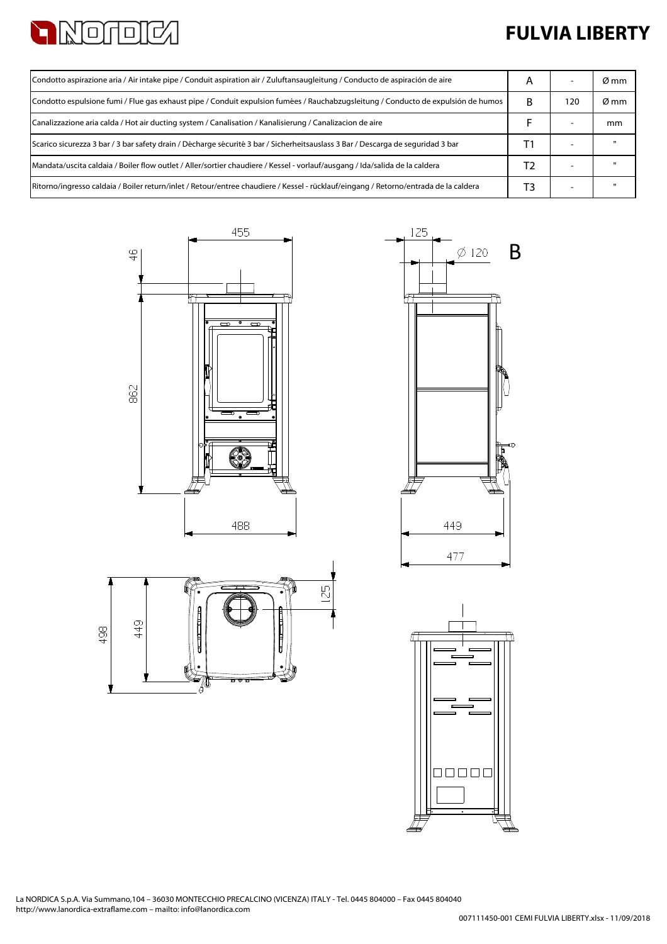

## **FULVIA LIBERTY**

| Condotto aspirazione aria / Air intake pipe / Conduit aspiration air / Zuluftansaugleitung / Conducto de aspiración de aire          |   |     | Ø mm |
|--------------------------------------------------------------------------------------------------------------------------------------|---|-----|------|
| Condotto espulsione fumi / Flue gas exhaust pipe / Conduit expulsion fumées / Rauchabzugsleitung / Conducto de expulsión de humos    | R | 120 | Ø mm |
| Canalizzazione aria calda / Hot air ducting system / Canalisation / Kanalisierung / Canalizacion de aire                             |   |     | mm   |
| Scarico sicurezza 3 bar / 3 bar safety drain / Décharge sécurité 3 bar / Sicherheitsauslass 3 Bar / Descarga de seguridad 3 bar      |   |     |      |
| Mandata/uscita caldaia / Boiler flow outlet / Aller/sortier chaudiere / Kessel - vorlauf/ausgang / Ida/salida de la caldera          |   |     |      |
| Ritorno/ingresso caldaia / Boiler return/inlet / Retour/entree chaudiere / Kessel - rücklauf/eingang / Retorno/entrada de la caldera |   |     |      |







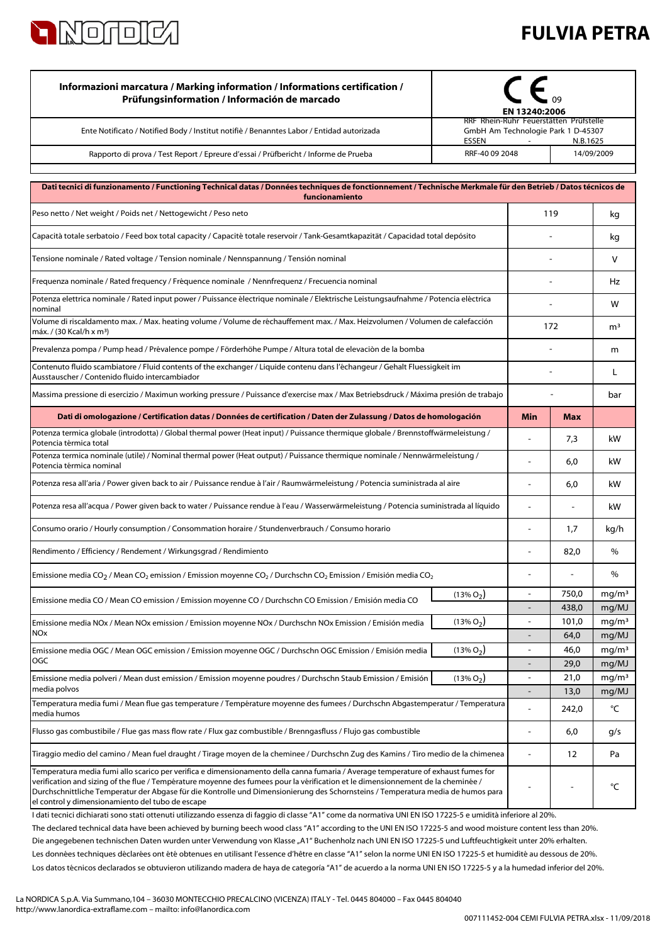

## **FULVIA PETRA**

| Informazioni marcatura / Marking information / Informations certification /<br>Prüfungsinformation / Información de marcado                                                                                                                                                                                                                                                                                                                                   | EN 13240:2006                                                                |                          |                |                            |
|---------------------------------------------------------------------------------------------------------------------------------------------------------------------------------------------------------------------------------------------------------------------------------------------------------------------------------------------------------------------------------------------------------------------------------------------------------------|------------------------------------------------------------------------------|--------------------------|----------------|----------------------------|
| Ente Notificato / Notified Body / Institut notifiè / Benanntes Labor / Entidad autorizada                                                                                                                                                                                                                                                                                                                                                                     | RRF Rhein-Ruhr Feuerstätten Prüfstelle<br>GmbH Am Technologie Park 1 D-45307 |                          |                |                            |
| Rapporto di prova / Test Report / Epreure d'essai / Prüfbericht / Informe de Prueba                                                                                                                                                                                                                                                                                                                                                                           | ESSEN<br>N.B.1625<br>RRF-40 09 2048<br>14/09/2009                            |                          |                |                            |
| Dati tecnici di funzionamento / Functioning Technical datas / Données techniques de fonctionnement / Technische Merkmale für den Betrieb / Datos técnicos de<br>funcionamiento                                                                                                                                                                                                                                                                                |                                                                              |                          |                |                            |
| Peso netto / Net weight / Poids net / Nettogewicht / Peso neto                                                                                                                                                                                                                                                                                                                                                                                                |                                                                              |                          | 119            |                            |
| Capacità totale serbatoio / Feed box total capacity / Capacité totale reservoir / Tank-Gesamtkapazität / Capacidad total depósito                                                                                                                                                                                                                                                                                                                             |                                                                              |                          |                | kg                         |
| Tensione nominale / Rated voltage / Tension nominale / Nennspannung / Tensión nominal                                                                                                                                                                                                                                                                                                                                                                         |                                                                              |                          |                | v                          |
| Frequenza nominale / Rated frequency / Fréquence nominale / Nennfrequenz / Frecuencia nominal                                                                                                                                                                                                                                                                                                                                                                 |                                                                              |                          |                | Hz                         |
| Potenza elettrica nominale / Rated input power / Puissance électrique nominale / Elektrische Leistungsaufnahme / Potencia eléctrica<br>nominal                                                                                                                                                                                                                                                                                                                |                                                                              |                          |                | W                          |
| Volume di riscaldamento max. / Max. heating volume / Volume de réchauffement max. / Max. Heizvolumen / Volumen de calefacción<br>máx. / (30 Kcal/h x m3)                                                                                                                                                                                                                                                                                                      |                                                                              | 172                      |                | m <sup>3</sup>             |
| Prevalenza pompa / Pump head / Prévalence pompe / Förderhöhe Pumpe / Altura total de elevaciòn de la bomba                                                                                                                                                                                                                                                                                                                                                    |                                                                              |                          |                | m                          |
| Contenuto fluido scambiatore / Fluid contents of the exchanger / Liquide contenu dans l'échangeur / Gehalt Fluessigkeit im<br>Ausstauscher / Contenido fluido intercambiador                                                                                                                                                                                                                                                                                  |                                                                              |                          |                | L                          |
| Massima pressione di esercizio / Maximun working pressure / Puissance d'exercise max / Max Betriebsdruck / Máxima presión de trabajo                                                                                                                                                                                                                                                                                                                          |                                                                              |                          |                |                            |
| Dati di omologazione / Certification datas / Données de certification / Daten der Zulassung / Datos de homologación                                                                                                                                                                                                                                                                                                                                           |                                                                              | <b>Min</b>               | <b>Max</b>     |                            |
| Potenza termica globale (introdotta) / Global thermal power (Heat input) / Puissance thermique globale / Brennstoffwärmeleistung /<br>Potencia térmica total                                                                                                                                                                                                                                                                                                  |                                                                              |                          | 7,3            | kW                         |
| Potenza termica nominale (utile) / Nominal thermal power (Heat output) / Puissance thermique nominale / Nennwärmeleistung /<br>Potencia térmica nominal                                                                                                                                                                                                                                                                                                       |                                                                              |                          | 6,0            | kW                         |
| Potenza resa all'aria / Power given back to air / Puissance rendue à l'air / Raumwärmeleistung / Potencia suministrada al aire                                                                                                                                                                                                                                                                                                                                |                                                                              | ÷                        | 6,0            | kW                         |
| Potenza resa all'acqua / Power given back to water / Puissance rendue à l'eau / Wasserwärmeleistung / Potencia suministrada al líquido                                                                                                                                                                                                                                                                                                                        |                                                                              |                          |                | kW                         |
| Consumo orario / Hourly consumption / Consommation horaire / Stundenverbrauch / Consumo horario                                                                                                                                                                                                                                                                                                                                                               |                                                                              | $\blacksquare$           | 1,7            | kg/h                       |
| Rendimento / Efficiency / Rendement / Wirkungsgrad / Rendimiento                                                                                                                                                                                                                                                                                                                                                                                              |                                                                              |                          | 82,0           | $\%$                       |
| Emissione media CO <sub>2</sub> / Mean CO <sub>2</sub> emission / Emission moyenne CO <sub>2</sub> / Durchschn CO <sub>2</sub> Emission / Emisión media CO <sub>2</sub>                                                                                                                                                                                                                                                                                       |                                                                              |                          |                | %                          |
| Emissione media CO / Mean CO emission / Emission moyenne CO / Durchschn CO Emission / Emisión media CO                                                                                                                                                                                                                                                                                                                                                        | $(13\% O_2)$                                                                 | $\overline{a}$           | 750,0          | mg/m <sup>3</sup>          |
| Emissione media NOx / Mean NOx emission / Emission moyenne NOx / Durchschn NOx Emission / Emisión media                                                                                                                                                                                                                                                                                                                                                       | $(13\% O_2)$                                                                 | $\overline{\phantom{a}}$ | 438,0<br>101,0 | mg/MJ<br>mq/m <sup>3</sup> |
| NOx                                                                                                                                                                                                                                                                                                                                                                                                                                                           |                                                                              |                          | 64,0           | mg/MJ                      |
| Emissione media OGC / Mean OGC emission / Emission moyenne OGC / Durchschn OGC Emission / Emisión media                                                                                                                                                                                                                                                                                                                                                       | $(13\% O_2)$                                                                 | $\blacksquare$           | 46,0           | mg/m <sup>3</sup>          |
| OGC                                                                                                                                                                                                                                                                                                                                                                                                                                                           |                                                                              | $\overline{\phantom{0}}$ | 29,0           | mg/MJ                      |
| Emissione media polveri / Mean dust emission / Emission moyenne poudres / Durchschn Staub Emission / Emisión<br>media polvos                                                                                                                                                                                                                                                                                                                                  | $(13\% O_2)$                                                                 | $\overline{a}$           | 21,0<br>13,0   | mg/m <sup>3</sup><br>mg/MJ |
| Temperatura media fumi / Mean flue gas temperature / Température moyenne des fumees / Durchschn Abgastemperatur / Temperatura<br>media humos                                                                                                                                                                                                                                                                                                                  |                                                                              |                          | 242,0          | °C                         |
| Flusso gas combustibile / Flue gas mass flow rate / Flux gaz combustible / Brenngasfluss / Flujo gas combustible                                                                                                                                                                                                                                                                                                                                              |                                                                              | $\blacksquare$           | 6,0            | g/s                        |
| Tiraggio medio del camino / Mean fuel draught / Tirage moyen de la cheminee / Durchschn Zug des Kamins / Tiro medio de la chimenea                                                                                                                                                                                                                                                                                                                            |                                                                              |                          | 12             | Pa                         |
| Temperatura media fumi allo scarico per verifica e dimensionamento della canna fumaria / Average temperature of exhaust fumes for<br>verification and sizing of the flue / Température moyenne des fumees pour la vérification et le dimensionnement de la cheminée /<br>Durchschnittliche Temperatur der Abgase für die Kontrolle und Dimensionierung des Schornsteins / Temperatura media de humos para<br>el control y dimensionamiento del tubo de escape |                                                                              |                          |                | °C                         |

Los datos técnicos declarados se obtuvieron utilizando madera de haya de categoría "A1" de acuerdo a la norma UNI EN ISO 17225-5 y a la humedad inferior del 20%. Les données techniques déclarées ont été obtenues en utilisant l'essence d'hêtre en classe "A1" selon la norme UNI EN ISO 17225-5 et humidité au dessous de 20%. I dati tecnici dichiarati sono stati ottenuti utilizzando essenza di faggio di classe "A1" come da normativa UNI EN ISO 17225-5 e umidità inferiore al 20%. Die angegebenen technischen Daten wurden unter Verwendung von Klasse "A1" Buchenholz nach UNI EN ISO 17225-5 und Luftfeuchtigkeit unter 20% erhalten. The declared technical data have been achieved by burning beech wood class "A1" according to the UNI EN ISO 17225-5 and wood moisture content less than 20%.